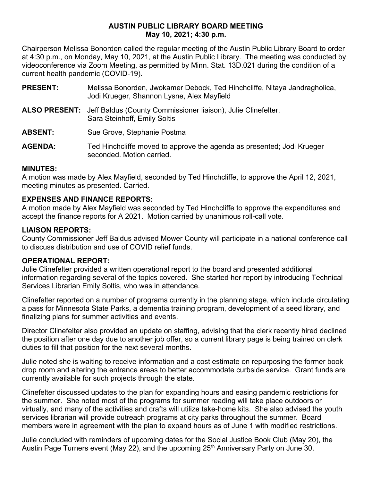### **AUSTIN PUBLIC LIBRARY BOARD MEETING May 10, 2021; 4:30 p.m.**

Chairperson Melissa Bonorden called the regular meeting of the Austin Public Library Board to order at 4:30 p.m., on Monday, May 10, 2021, at the Austin Public Library. The meeting was conducted by videoconference via Zoom Meeting, as permitted by Minn. Stat. 13D.021 during the condition of a current health pandemic (COVID-19).

- **PRESENT:** Melissa Bonorden, Jwokamer Debock, Ted Hinchcliffe, Nitaya Jandragholica, Jodi Krueger, Shannon Lysne, Alex Mayfield
- **ALSO PRESENT:** Jeff Baldus (County Commissioner liaison), Julie Clinefelter, Sara Steinhoff, Emily Soltis

ABSENT: Sue Grove, Stephanie Postma

**AGENDA:** Ted Hinchcliffe moved to approve the agenda as presented; Jodi Krueger seconded. Motion carried.

# **MINUTES:**

A motion was made by Alex Mayfield, seconded by Ted Hinchcliffe, to approve the April 12, 2021, meeting minutes as presented. Carried.

# **EXPENSES AND FINANCE REPORTS:**

A motion made by Alex Mayfield was seconded by Ted Hinchcliffe to approve the expenditures and accept the finance reports for A 2021. Motion carried by unanimous roll-call vote.

# **LIAISON REPORTS:**

County Commissioner Jeff Baldus advised Mower County will participate in a national conference call to discuss distribution and use of COVID relief funds.

# **OPERATIONAL REPORT:**

Julie Clinefelter provided a written operational report to the board and presented additional information regarding several of the topics covered. She started her report by introducing Technical Services Librarian Emily Soltis, who was in attendance.

Clinefelter reported on a number of programs currently in the planning stage, which include circulating a pass for Minnesota State Parks, a dementia training program, development of a seed library, and finalizing plans for summer activities and events.

Director Clinefelter also provided an update on staffing, advising that the clerk recently hired declined the position after one day due to another job offer, so a current library page is being trained on clerk duties to fill that position for the next several months.

Julie noted she is waiting to receive information and a cost estimate on repurposing the former book drop room and altering the entrance areas to better accommodate curbside service. Grant funds are currently available for such projects through the state.

Clinefelter discussed updates to the plan for expanding hours and easing pandemic restrictions for the summer. She noted most of the programs for summer reading will take place outdoors or virtually, and many of the activities and crafts will utilize take-home kits. She also advised the youth services librarian will provide outreach programs at city parks throughout the summer. Board members were in agreement with the plan to expand hours as of June 1 with modified restrictions.

Julie concluded with reminders of upcoming dates for the Social Justice Book Club (May 20), the Austin Page Turners event (May 22), and the upcoming  $25<sup>th</sup>$  Anniversary Party on June 30.